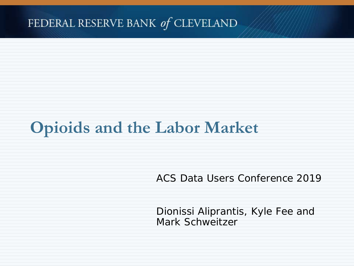#### FEDERAL RESERVE BANK of CLEVELAND

# **Opioids and the Labor Market**

ACS Data Users Conference 2019

Dionissi Aliprantis, Kyle Fee and Mark Schweitzer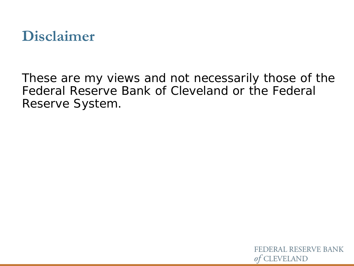

These are my views and not necessarily those of the Federal Reserve Bank of Cleveland or the Federal Reserve System.

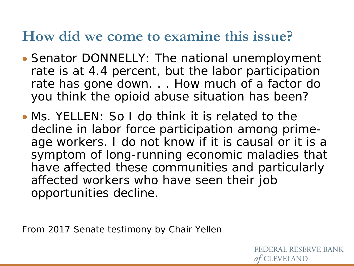### **How did we come to examine this issue?**

- Senator DONNELLY: The national unemployment rate is at 4.4 percent, but the labor participation rate has gone down. . . How much of a factor do you think the opioid abuse situation has been?
- Ms. YELLEN: So I do think it is related to the decline in labor force participation among primeage workers. I do not know if it is causal or it is a symptom of long-running economic maladies that have affected these communities and particularly affected workers who have seen their job opportunities decline.

From 2017 Senate testimony by Chair Yellen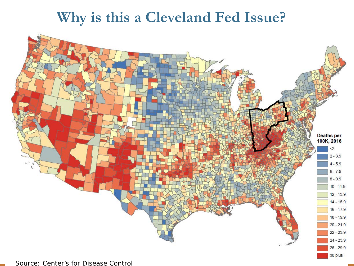### **Why is this a Cleveland Fed Issue?**

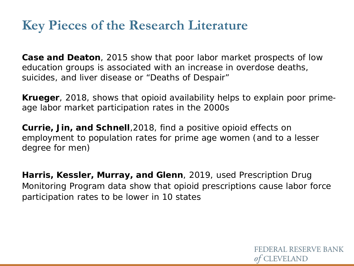#### **Key Pieces of the Research Literature**

**Case and Deaton**, 2015 show that poor labor market prospects of low education groups is associated with an increase in overdose deaths, suicides, and liver disease or "Deaths of Despair"

**Krueger**, 2018, shows that opioid availability helps to explain poor primeage labor market participation rates in the 2000s

**Currie, Jin, and Schnell**,2018, find a positive opioid effects on employment to population rates for prime age women (and to a lesser degree for men)

**Harris, Kessler, Murray, and Glenn**, 2019, used Prescription Drug Monitoring Program data show that opioid prescriptions cause labor force participation rates to be lower in 10 states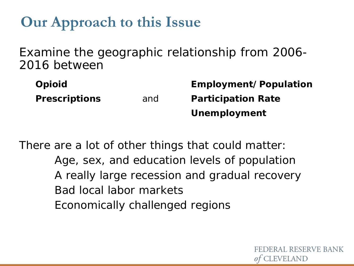## **Our Approach to this Issue**

Examine the geographic relationship from 2006- 2016 between

| <b>Opioid</b>        |     | Employment/Population     |
|----------------------|-----|---------------------------|
| <b>Prescriptions</b> | and | <b>Participation Rate</b> |
|                      |     | Unemployment              |

There are a lot of other things that could matter: Age, sex, and education levels of population A really large recession and gradual recovery Bad local labor markets Economically challenged regions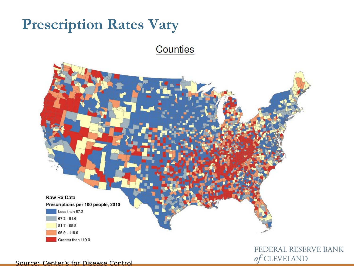## **Prescription Rates Vary**

Counties



FEDERAL RESERVE BANK of CLEVELAND

Source: Center's for Disease Control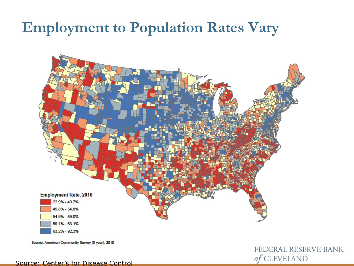### **Employment to Population Rates Vary**



Source: American Community Survey (5 year), 2010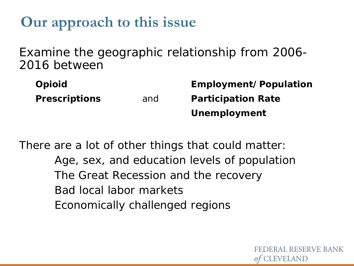## **Our approach to this issue**

Examine the geographic relationship from 2006- 2016 between

| <b>Opioid</b>        |     | Employment/Population     |
|----------------------|-----|---------------------------|
| <b>Prescriptions</b> | and | <b>Participation Rate</b> |
|                      |     | Unemployment              |

There are a lot of other things that could matter: Age, sex, and education levels of population The Great Recession and the recovery Bad local labor markets Economically challenged regions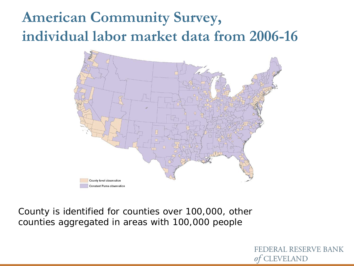# **American Community Survey, individual labor market data from 2006-16**



County is identified for counties over 100,000, other counties aggregated in areas with 100,000 people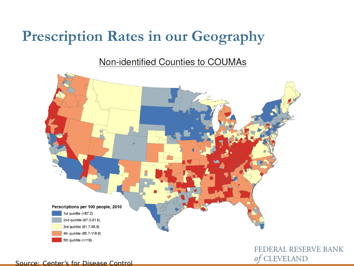## **Prescription Rates in our Geography**

Non-identified Counties to COUMAs



FEDERAL RESERVE BANK of CLEVELAND

Source: Center's for Disease Control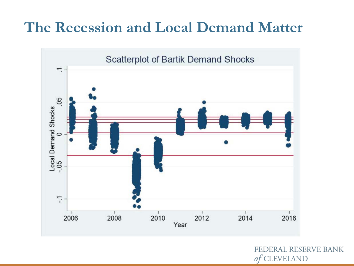## **The Recession and Local Demand Matter**

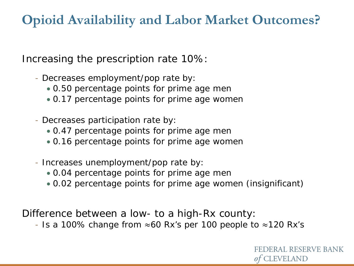#### **Opioid Availability and Labor Market Outcomes?**

Increasing the prescription rate 10%:

- Decreases employment/pop rate by:
	- 0.50 percentage points for prime age men
	- 0.17 percentage points for prime age women
- Decreases participation rate by:
	- 0.47 percentage points for prime age men
	- 0.16 percentage points for prime age women
- Increases unemployment/pop rate by:
	- 0.04 percentage points for prime age men
	- 0.02 percentage points for prime age women (insignificant)

Difference between a low- to a high-Rx county:

- Is a 100% change from  $\approx$ 60 Rx's per 100 people to  $\approx$ 120 Rx's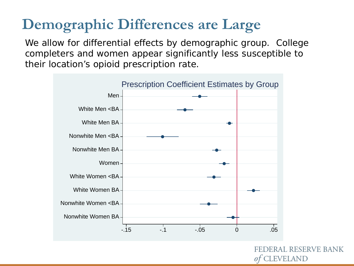# **Demographic Differences are Large**

We allow for differential effects by demographic group. College completers and women appear significantly less susceptible to their location's opioid prescription rate.

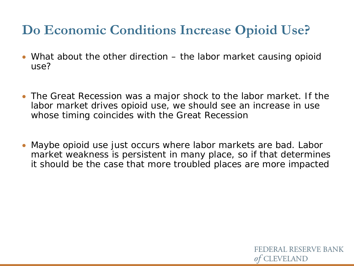#### **Do Economic Conditions Increase Opioid Use?**

- What about the other direction the labor market causing opioid use?
- The Great Recession was a major shock to the labor market. If the labor market drives opioid use, we should see an increase in use whose timing coincides with the Great Recession
- Maybe opioid use just occurs where labor markets are bad. Labor market weakness is persistent in many place, so if that determines it should be the case that more troubled places are more impacted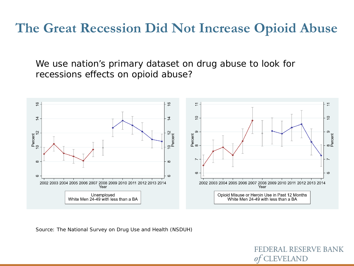#### **The Great Recession Did Not Increase Opioid Abuse**

We use nation's primary dataset on drug abuse to look for recessions effects on opioid abuse?



*Source:* The National Survey on Drug Use and Health (NSDUH)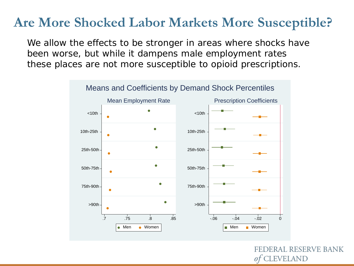#### **Are More Shocked Labor Markets More Susceptible?**

We allow the effects to be stronger in areas where shocks have been worse, but while it dampens male employment rates these places are not more susceptible to opioid prescriptions.

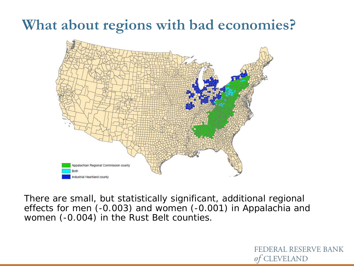## **What about regions with bad economies?**



There are small, but statistically significant, additional regional effects for men (-0.003) and women (-0.001) in Appalachia and women (-0.004) in the Rust Belt counties.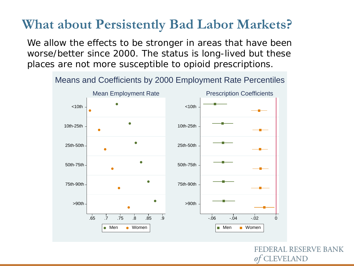#### **What about Persistently Bad Labor Markets?**

We allow the effects to be stronger in areas that have been worse/better since 2000. The status is long-lived but these places are not more susceptible to opioid prescriptions.



Means and Coefficients by 2000 Employment Rate Percentiles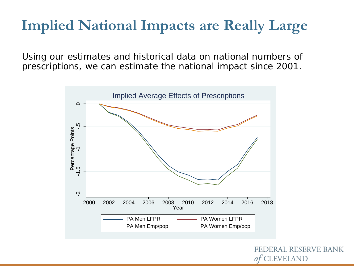## **Implied National Impacts are Really Large**

Using our estimates and historical data on national numbers of prescriptions, we can estimate the national impact since 2001.